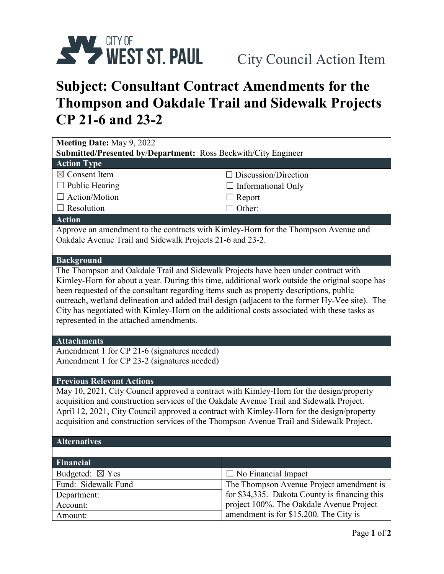

## **Subject: Consultant Contract Amendments for the Thompson and Oakdale Trail and Sidewalk Projects CP 21-6 and 23-2**

| Meeting Date: May 9, 2022                                                                                                                                                                                                                                                                                                                                                                                                                                                                                                  |                                               |  |
|----------------------------------------------------------------------------------------------------------------------------------------------------------------------------------------------------------------------------------------------------------------------------------------------------------------------------------------------------------------------------------------------------------------------------------------------------------------------------------------------------------------------------|-----------------------------------------------|--|
| Submitted/Presented by/Department: Ross Beckwith/City Engineer                                                                                                                                                                                                                                                                                                                                                                                                                                                             |                                               |  |
| <b>Action Type</b>                                                                                                                                                                                                                                                                                                                                                                                                                                                                                                         |                                               |  |
| $\boxtimes$ Consent Item                                                                                                                                                                                                                                                                                                                                                                                                                                                                                                   | $\Box$ Discussion/Direction                   |  |
| $\Box$ Public Hearing                                                                                                                                                                                                                                                                                                                                                                                                                                                                                                      | Informational Only                            |  |
| $\Box$ Action/Motion                                                                                                                                                                                                                                                                                                                                                                                                                                                                                                       | $\Box$ Report                                 |  |
| $\Box$ Resolution                                                                                                                                                                                                                                                                                                                                                                                                                                                                                                          | $\Box$ Other:                                 |  |
| <b>Action</b>                                                                                                                                                                                                                                                                                                                                                                                                                                                                                                              |                                               |  |
| Approve an amendment to the contracts with Kimley-Horn for the Thompson Avenue and<br>Oakdale Avenue Trail and Sidewalk Projects 21-6 and 23-2.                                                                                                                                                                                                                                                                                                                                                                            |                                               |  |
| <b>Background</b>                                                                                                                                                                                                                                                                                                                                                                                                                                                                                                          |                                               |  |
| The Thompson and Oakdale Trail and Sidewalk Projects have been under contract with<br>Kimley-Horn for about a year. During this time, additional work outside the original scope has<br>been requested of the consultant regarding items such as property descriptions, public<br>outreach, wetland delineation and added trail design (adjacent to the former Hy-Vee site). The<br>City has negotiated with Kimley-Horn on the additional costs associated with these tasks as<br>represented in the attached amendments. |                                               |  |
| <b>Attachments</b>                                                                                                                                                                                                                                                                                                                                                                                                                                                                                                         |                                               |  |
| Amendment 1 for CP 21-6 (signatures needed)<br>Amendment 1 for CP 23-2 (signatures needed)                                                                                                                                                                                                                                                                                                                                                                                                                                 |                                               |  |
| <b>Previous Relevant Actions</b>                                                                                                                                                                                                                                                                                                                                                                                                                                                                                           |                                               |  |
| May 10, 2021, City Council approved a contract with Kimley-Horn for the design/property<br>acquisition and construction services of the Oakdale Avenue Trail and Sidewalk Project.<br>April 12, 2021, City Council approved a contract with Kimley-Horn for the design/property<br>acquisition and construction services of the Thompson Avenue Trail and Sidewalk Project.                                                                                                                                                |                                               |  |
| <b>Alternatives</b>                                                                                                                                                                                                                                                                                                                                                                                                                                                                                                        |                                               |  |
|                                                                                                                                                                                                                                                                                                                                                                                                                                                                                                                            |                                               |  |
| Financial                                                                                                                                                                                                                                                                                                                                                                                                                                                                                                                  |                                               |  |
| Budgeted: $\boxtimes$ Yes                                                                                                                                                                                                                                                                                                                                                                                                                                                                                                  | $\Box$ No Financial Impact                    |  |
| Fund: Sidewalk Fund                                                                                                                                                                                                                                                                                                                                                                                                                                                                                                        | The Thompson Avenue Project amendment is      |  |
| Department:                                                                                                                                                                                                                                                                                                                                                                                                                                                                                                                | for \$34,335. Dakota County is financing this |  |
| Account:                                                                                                                                                                                                                                                                                                                                                                                                                                                                                                                   | project 100%. The Oakdale Avenue Project      |  |
| Amount:                                                                                                                                                                                                                                                                                                                                                                                                                                                                                                                    | amendment is for \$15,200. The City is        |  |